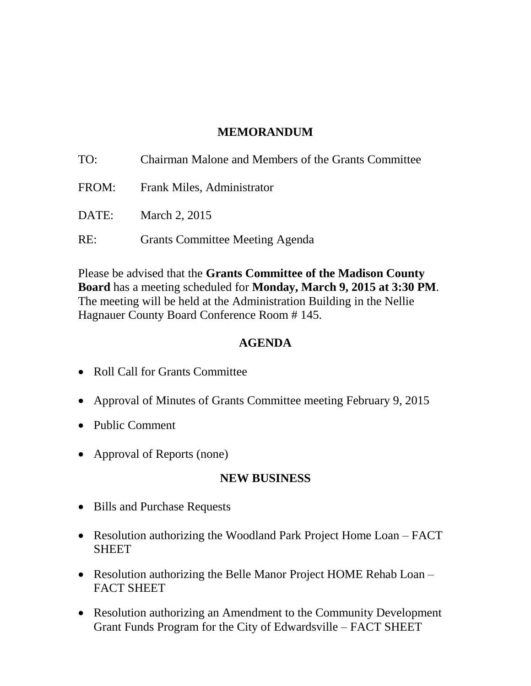### **MEMORANDUM**

| TO:   | Chairman Malone and Members of the Grants Committee |
|-------|-----------------------------------------------------|
| FROM: | <b>Frank Miles, Administrator</b>                   |
| DATE: | March 2, 2015                                       |
| RE:   | <b>Grants Committee Meeting Agenda</b>              |

Please be advised that the **Grants Committee of the Madison County Board** has a meeting scheduled for **Monday, March 9, 2015 at 3:30 PM**. The meeting will be held at the Administration Building in the Nellie Hagnauer County Board Conference Room # 145.

#### **AGENDA**

- Roll Call for Grants Committee
- Approval of Minutes of Grants Committee meeting February 9, 2015
- Public Comment
- Approval of Reports (none)

### **NEW BUSINESS**

- Bills and Purchase Requests
- Resolution authorizing the Woodland Park Project Home Loan FACT **SHEET**
- Resolution authorizing the Belle Manor Project HOME Rehab Loan FACT SHEET
- Resolution authorizing an Amendment to the Community Development Grant Funds Program for the City of Edwardsville – FACT SHEET